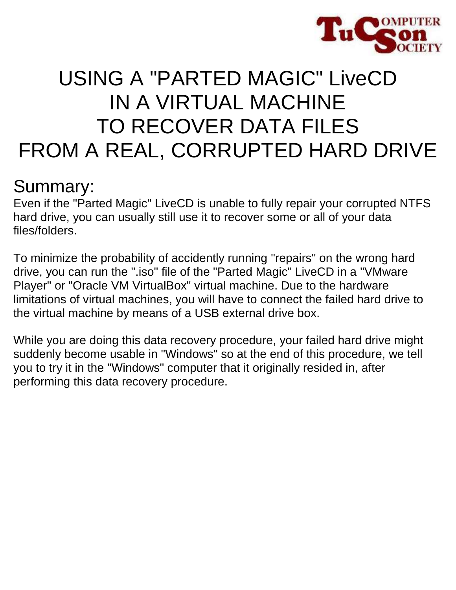

# USING A "PARTED MAGIC" LiveCD IN A VIRTUAL MACHINE TO RECOVER DATA FILES FROM A REAL, CORRUPTED HARD DRIVE

### Summary:

Even if the "Parted Magic" LiveCD is unable to fully repair your corrupted NTFS hard drive, you can usually still use it to recover some or all of your data files/folders.

To minimize the probability of accidently running "repairs" on the wrong hard drive, you can run the ".iso" file of the "Parted Magic" LiveCD in a "VMware Player" or "Oracle VM VirtualBox" virtual machine. Due to the hardware limitations of virtual machines, you will have to connect the failed hard drive to the virtual machine by means of a USB external drive box.

While you are doing this data recovery procedure, your failed hard drive might suddenly become usable in "Windows" so at the end of this procedure, we tell you to try it in the "Windows" computer that it originally resided in, after performing this data recovery procedure.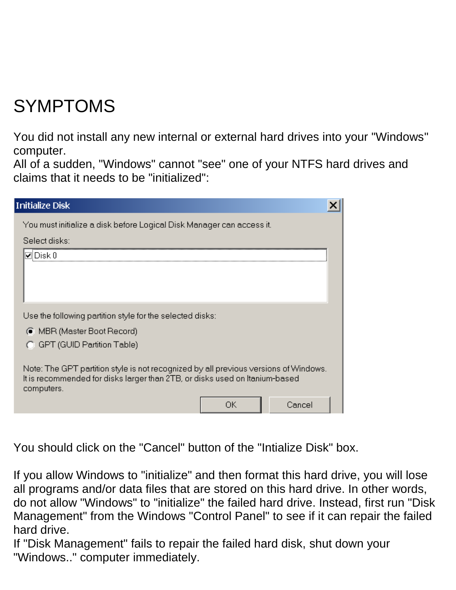## SYMPTOMS

You did not install any new internal or external hard drives into your "Windows" computer.

All of a sudden, "Windows" cannot "see" one of your NTFS hard drives and claims that it needs to be "initialized":

| <b>Initialize Disk</b>                                                                                                                                                            |        |  |
|-----------------------------------------------------------------------------------------------------------------------------------------------------------------------------------|--------|--|
| You must initialize a disk before Logical Disk Manager can access it.                                                                                                             |        |  |
| Select disks:                                                                                                                                                                     |        |  |
| lvliDisk 0                                                                                                                                                                        |        |  |
|                                                                                                                                                                                   |        |  |
|                                                                                                                                                                                   |        |  |
|                                                                                                                                                                                   |        |  |
| Use the following partition style for the selected disks:                                                                                                                         |        |  |
| ● MBR (Master Boot Record)                                                                                                                                                        |        |  |
| GPT (GUID Partition Table)                                                                                                                                                        |        |  |
| Note: The GPT partition style is not recognized by all previous versions of Windows.<br>It is recommended for disks larger than 2TB, or disks used on Itanium-based<br>computers. |        |  |
|                                                                                                                                                                                   | Cancel |  |

You should click on the "Cancel" button of the "Intialize Disk" box.

If you allow Windows to "initialize" and then format this hard drive, you will lose all programs and/or data files that are stored on this hard drive. In other words, do not allow "Windows" to "initialize" the failed hard drive. Instead, first run "Disk Management" from the Windows "Control Panel" to see if it can repair the failed hard drive.

If "Disk Management" fails to repair the failed hard disk, shut down your "Windows.." computer immediately.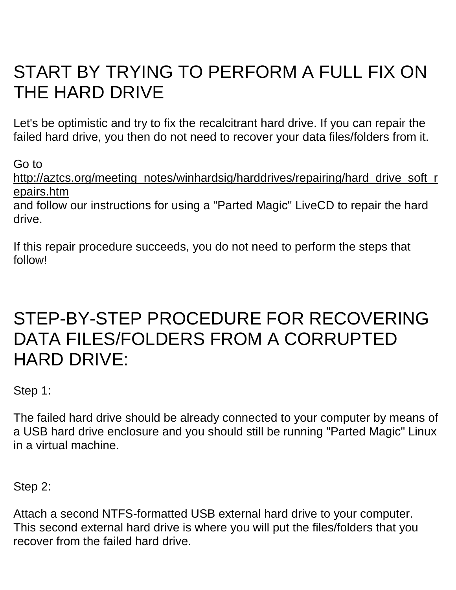### START BY TRYING TO PERFORM A FULL FIX ON THE HARD DRIVE

Let's be optimistic and try to fix the recalcitrant hard drive. If you can repair the failed hard drive, you then do not need to recover your data files/folders from it.

Go to [http://aztcs.org/meeting\\_notes/winhardsig/harddrives/repairing/hard\\_drive\\_soft\\_r](http://aztcs.org/meeting_notes/winhardsig/harddrives/repairing/hard_drive_soft_repairs.htm) [epairs.htm](http://aztcs.org/meeting_notes/winhardsig/harddrives/repairing/hard_drive_soft_repairs.htm)

and follow our instructions for using a "Parted Magic" LiveCD to repair the hard drive.

If this repair procedure succeeds, you do not need to perform the steps that follow!

### STEP-BY-STEP PROCEDURE FOR RECOVERING DATA FILES/FOLDERS FROM A CORRUPTED HARD DRIVE:

Step 1:

The failed hard drive should be already connected to your computer by means of a USB hard drive enclosure and you should still be running "Parted Magic" Linux in a virtual machine.

Step 2:

Attach a second NTFS-formatted USB external hard drive to your computer. This second external hard drive is where you will put the files/folders that you recover from the failed hard drive.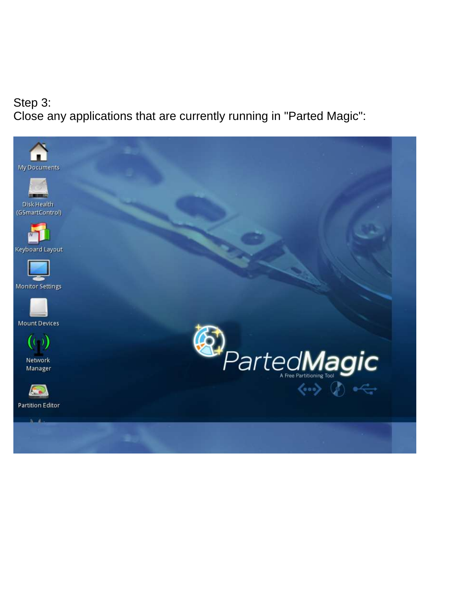#### Step 3: Close any applications that are currently running in "Parted Magic":

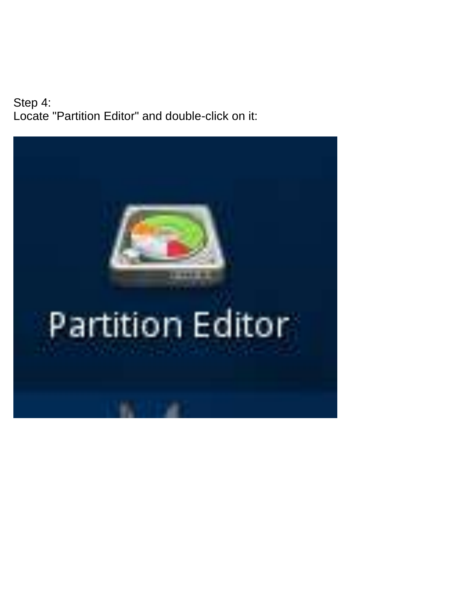Step 4: Locate "Partition Editor" and double-click on it:

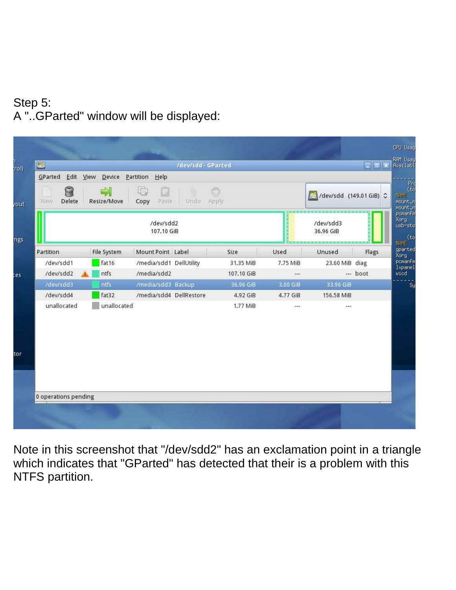#### Step 5: A "..GParted" window will be displayed:

| Delete<br>New | C<br>Resize/Move  | 呻<br>Copy<br>Paste<br>Undo Apply |            |          | dev/sdd (149.01 GiB) C |          |
|---------------|-------------------|----------------------------------|------------|----------|------------------------|----------|
|               |                   | /dev/sdd2<br>107.10 GiB          |            |          | /dev/sdd3<br>36.96 GiB |          |
| Partition     | File System       | Mount Point Label                | Size       | Used     | Unused                 | Flags    |
| /dev/sdd1     | fat <sub>16</sub> | /media/sdd1 DellUtility          | 31.35 MiB  | 7.75 MiB | 23.60 MiB diag         |          |
| /dev/sdd2     | ntfs              | /media/sdd2                      | 107.10 GiB | $\cdots$ |                        | --- boot |
| /dev/sdd3     | ntfs              | /media/sdd3 Backup               | 36.96 GiB  | 3.00 GiB | 33.96 GiB              |          |
| /dev/sdd4     | fat32             | /media/sdd4 DellRestore          | 4.92 GiB   | 4.77 GiB | 156.58 MiB             |          |
| unallocated   | unallocated       |                                  | 1.77 MiB   | ana.     | 277                    |          |
|               |                   |                                  |            |          |                        |          |

Note in this screenshot that "/dev/sdd2" has an exclamation point in a triangle which indicates that "GParted" has detected that their is a problem with this NTFS partition.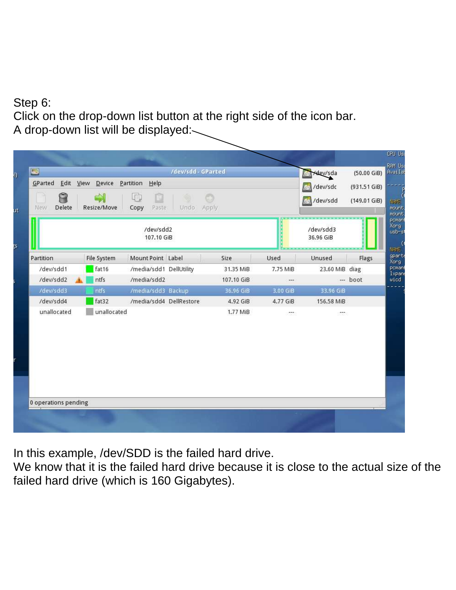#### Step 6: Click on the drop-down list button at the right side of the icon bar. A drop-down list will be displayed:

| Edit View<br>GParted<br>$D$ evice<br>Partition<br>Help<br>Ĥ<br>lp)<br>Delete<br>Copy<br>Paste<br>Urido <sup>1</sup><br>New<br>Resize/Move<br>Apply |                   |                         |  |            |          | /dev/sda<br>/dev/sdc<br>/dev/sdd | (931.51 GiB)<br>(149.01 GiB) |
|----------------------------------------------------------------------------------------------------------------------------------------------------|-------------------|-------------------------|--|------------|----------|----------------------------------|------------------------------|
|                                                                                                                                                    |                   | /dev/sdd2<br>107.10 GiB |  |            |          | /dev/sdd3<br>36.96 GiB           |                              |
| Partition                                                                                                                                          | File System       | Mount Point Label       |  | Size       | Used     | Unused                           | Flags                        |
| /dev/sdd1                                                                                                                                          | fat <sub>16</sub> | /media/sdd1 DellUtility |  | 31.35 MiB  | 7.75 MiB | 23.60 MiB diag                   |                              |
| /dev/sdd2                                                                                                                                          | ntfs              | /media/sdd2             |  | 107.10 GiB | $\sim$   |                                  | $-$ boot                     |
| /dev/sdd3                                                                                                                                          | ntfs              | /media/sdd3 Backup      |  | 36.96 GiB  | 3.00 GIB | 33.96 GiB                        |                              |
| /dev/sdd4                                                                                                                                          | fat32             | /media/sdd4 DellRestore |  | 4.92 GiB   | 4.77 GiB | 156.58 MiB                       |                              |
| unallocated                                                                                                                                        | unallocated       |                         |  | 1.77 MiB   | SS.      | 57                               |                              |
| 0 operations pending                                                                                                                               |                   |                         |  |            |          |                                  |                              |

In this example, /dev/SDD is the failed hard drive.

We know that it is the failed hard drive because it is close to the actual size of the failed hard drive (which is 160 Gigabytes).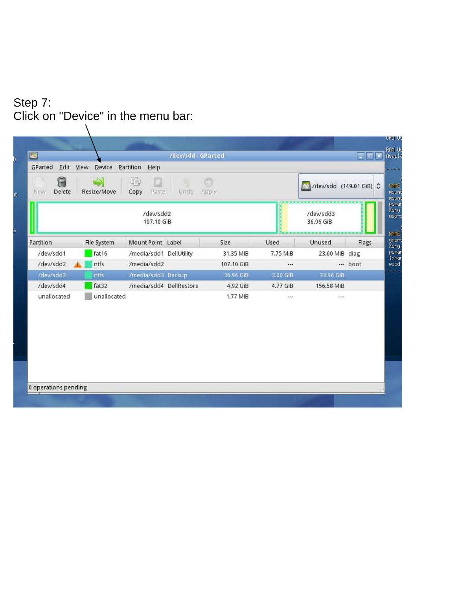#### Step 7: Click on "Device" in the menu bar: $\setminus$

| O                    |                              |                         | /dev/sdd-GParted |            |                |                         | <b>E</b> |
|----------------------|------------------------------|-------------------------|------------------|------------|----------------|-------------------------|----------|
| Edit<br>GParted      | View<br>Device               | Partition<br>Help       |                  |            |                |                         |          |
| Delete<br>New        | $\Rightarrow$<br>Resize/Move | 中<br>但<br>Paste<br>Copy | Undo             | Apply      |                | /dev/sdd (149.01 GiB) C |          |
|                      |                              | /dev/sdd2<br>107.10 GiB |                  |            |                | /dev/sdd3<br>36.96 GiB  |          |
| Partition            | File System                  | Mount Point Label       |                  | Size       | Used           | Unused                  | Flags    |
| /dev/sdd1            | fat16                        | /media/sdd1 DellUtility |                  | 31.35 MiB  | 7.75 MiB       | 23.60 MiB diag          |          |
| /dev/sdd2            | ntfs                         | /media/sdd2             |                  | 107.10 GiB | $---$          |                         | --- boot |
| /dev/sdd3            | ntfs                         | /media/sdd3 Backup      |                  | 36.96 GiB  | 3.00 GiB       | 33.96 GiB               |          |
| /dev/sdd4            | fat32                        | /media/sdd4 DellRestore |                  | 4.92 GiB   | 4.77 GiB       | 156.58 MiB              |          |
| unallocated          | unallocated                  |                         |                  | 1.77 MiB   | $\overline{ }$ | ---                     |          |
| 0 operations pending |                              |                         |                  |            |                |                         |          |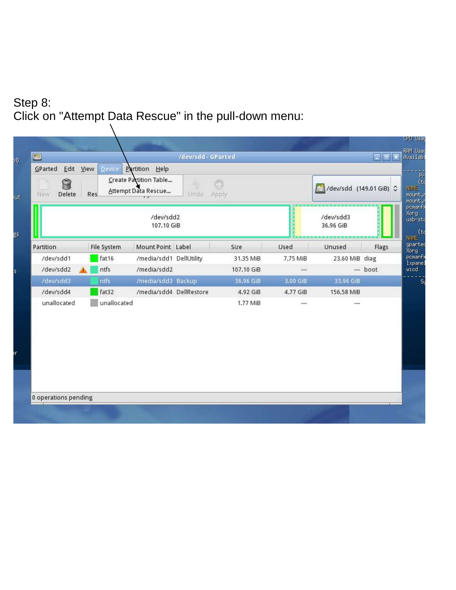#### Step 8: Click on "Attempt Data Rescue" in the pull-down menu:

| Delete<br>New. | Res.              | Create Partition Table<br>Attempt Data Rescue | Undo Apply |            |          | dev/sdd (149.01 GiB) C |          |
|----------------|-------------------|-----------------------------------------------|------------|------------|----------|------------------------|----------|
|                |                   | /dev/sdd2<br>107.10 GiB                       |            |            |          | /dev/sdd3<br>36.96 GiB |          |
| Partition      | File System       | Mount Point Label                             |            | Size       | Used     | Unused                 | Flags    |
| /dev/sdd1      | fat <sub>16</sub> | /media/sdd1 DellUtility                       |            | 31.35 MiB  | 7.75 MiB | 23.60 MiB diag         |          |
| /dev/sdd2      | ntfs              | /media/sdd2                                   |            | 107.10 GiB | ---      |                        | $-$ boot |
| /dev/sdd3      | ntfs              | /media/sdd3 Backup                            |            | 36.96 GiB  | 3.00 GiB | 33.96 GiB              |          |
| /dev/sdd4      | fat32             | /media/sdd4 DellRestore                       |            | 4.92 GiB   | 4.77 GiB | 156.58 MiB             |          |
| unallocated    | unallocated       |                                               |            | 1.77 MiB   | ---      | $--$                   |          |
|                |                   |                                               |            |            |          |                        |          |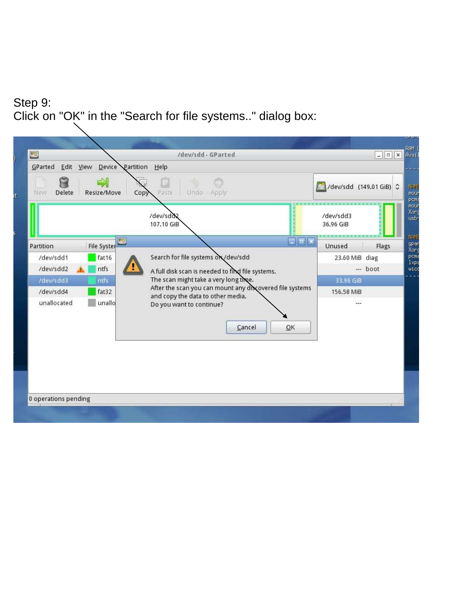#### Step 9: Click on "OK" in the "Search for file systems.." dialog box:

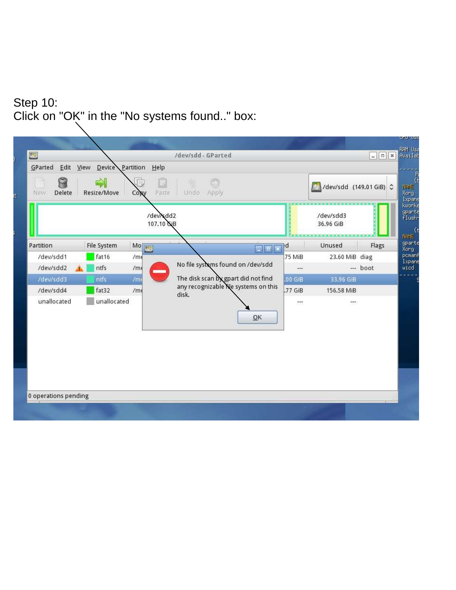#### Step 10: Click on "OK" in the "No systems found.." box:

| Delete<br><b>New</b> | $\Rightarrow$<br>Resize/Move | Copy            | Undo Apply<br>Paste                    |                                       |                            | dev/sdd (149.01 GiB) C                 |         |
|----------------------|------------------------------|-----------------|----------------------------------------|---------------------------------------|----------------------------|----------------------------------------|---------|
|                      |                              |                 | /dev/sdd2<br>107.10 GiB                |                                       |                            | /dev/sdd3<br>36,96 GiB                 |         |
| Partition            | File System                  | MO              |                                        | 3 F                                   | łd                         | Unused                                 | Flags   |
| /dev/sdd1            | fat16                        | /m <sub>6</sub> |                                        |                                       | 75 MiB                     | 23.60 MiB diag                         |         |
| /dev/sdd2            | ntfs                         | /m <sub>6</sub> | No file systems found on /dev/sdd<br>▀ |                                       | ÷÷.                        |                                        | -- boot |
| /dev/sdd3            | ntfs.                        | /m              | The disk scan by gpart did not find    |                                       | .00 <sub>GB</sub>          | 33.96 GiB                              |         |
| /dev/sdd4            | fat32                        | /m <sub>6</sub> | disk.                                  | any recognizable file systems on this | .77 GiB                    | 156.58 MiB                             |         |
| unallocated          | unallocated                  |                 |                                        | QK                                    | $\mathcal{P}^{\text{max}}$ | $\overline{\mathcal{L}(\mathbb{R}^d)}$ |         |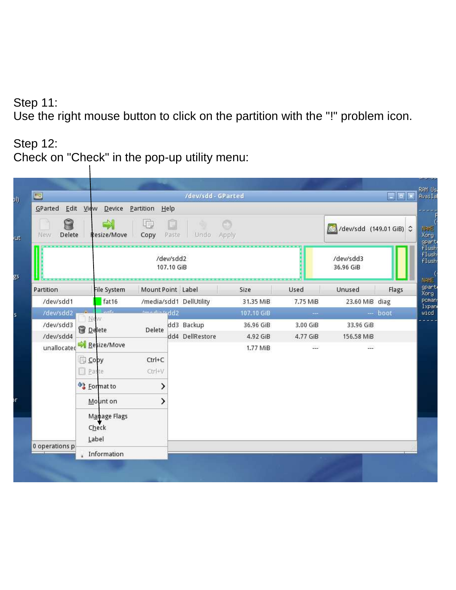#### Step 11:

Use the right mouse button to click on the partition with the "!" problem icon.

#### Step 12: Check on "Check" in the pop-up utility menu:

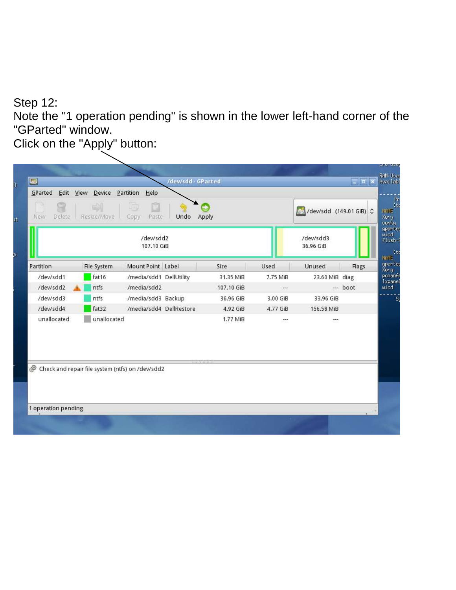#### Step 12:

Note the "1 operation pending" is shown in the lower left-hand corner of the "GParted" window.

Click on the "Apply" button:

| Delete<br><b>New</b>                             | Resize/Move       | Copy.<br>Paste<br>/dev/sdd2<br>107.10 GiB | Undo | Apply      |          | /dev/sdd3<br>36.96 GiB |          |
|--------------------------------------------------|-------------------|-------------------------------------------|------|------------|----------|------------------------|----------|
| Partition                                        | File System       | Mount Point Label                         |      | Size       | Used     | Unused                 | Flags    |
| /dev/sdd1                                        | fat <sub>16</sub> | /media/sdd1 DellUtility                   |      | 31.35 MiB  | 7.75 MiB | 23.60 MiB diag         |          |
| /dev/sdd2                                        | ntfs              | /media/sdd2                               |      | 107.10 GiB | ---      |                        | --- boot |
| /dev/sdd3                                        | ntfs              | /media/sdd3 Backup                        |      | 36.96 GiB  | 3.00 GiB | 33,96 GiB              |          |
| /dev/sdd4                                        | fat32             | /media/sdd4 DellRestore                   |      | 4.92 GiB   | 4.77 GiB | 156.58 MiB             |          |
| unallocated                                      | unallocated       |                                           |      | 1.77 MiB   | ter.     | ---                    |          |
| Check and repair file system (ntfs) on /dev/sdd2 |                   |                                           |      |            |          |                        |          |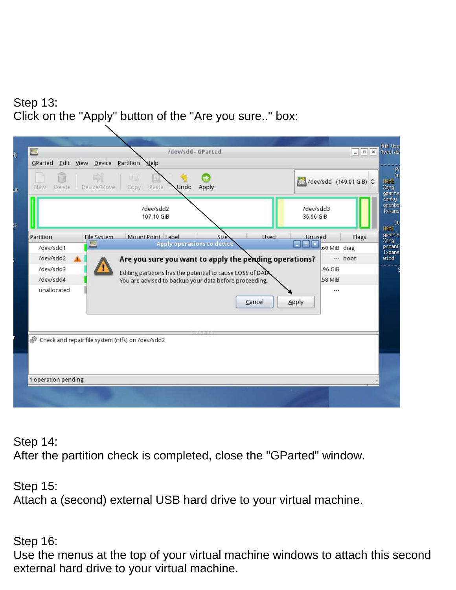#### Step 13: Click on the "Apply" button of the "Are you sure.." box:

| GParted             | Edit View Device | Partition<br><b>Nelp</b>                                   |                                   |        |                        |             |                         |
|---------------------|------------------|------------------------------------------------------------|-----------------------------------|--------|------------------------|-------------|-------------------------|
| Delete.<br>New      | Resize/Move      | try<br>Paste<br>Undo<br>Copy                               | Apply                             |        |                        |             | /dev/sdd (149.01 GiB) C |
|                     |                  | /dev/sdd2<br>107.10 GiB                                    |                                   |        | /dev/sdd3<br>36.96 GiB |             |                         |
| Partition           | File System      | Mount Point Label                                          | Size                              | Used   | <b>Unused</b>          |             | Flags                   |
| /dev/sdd1           |                  |                                                            | <b>Apply operations to device</b> |        | <b>Fill</b> x          | 60 MiB diag |                         |
| /dev/sdd2           |                  | Are you sure you want to apply the pending operations?     |                                   |        |                        |             | $-$ boot                |
| /dev/sdd3           |                  | Editing partitions has the potential to cause LOSS of DATA |                                   |        |                        | .96 GiB     |                         |
| /dev/sdd4           |                  | You are advised to backup your data before proceeding.     |                                   |        |                        | 58 MiB      |                         |
| unallocated         |                  |                                                            |                                   | Cancel | Apply                  | ---         |                         |
|                     |                  | Check and repair file system (ntfs) on /dev/sdd2           |                                   |        |                        |             |                         |
|                     |                  |                                                            |                                   |        |                        |             |                         |
| 1 operation pending |                  |                                                            |                                   |        |                        |             |                         |

Step 14:

After the partition check is completed, close the "GParted" window.

Step 15: Attach a (second) external USB hard drive to your virtual machine.

Step 16:

Use the menus at the top of your virtual machine windows to attach this second external hard drive to your virtual machine.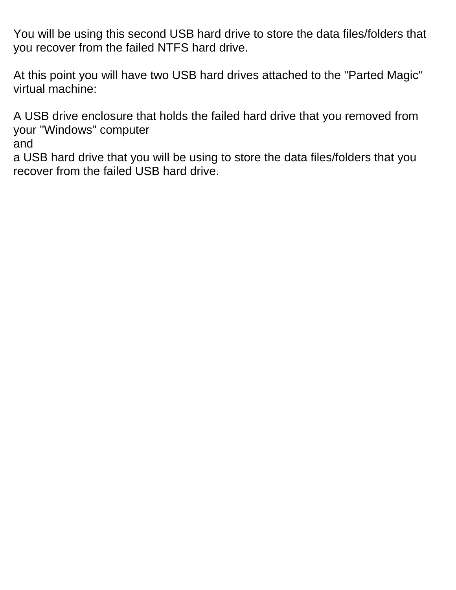You will be using this second USB hard drive to store the data files/folders that you recover from the failed NTFS hard drive.

At this point you will have two USB hard drives attached to the "Parted Magic" virtual machine:

A USB drive enclosure that holds the failed hard drive that you removed from your "Windows" computer

and

a USB hard drive that you will be using to store the data files/folders that you recover from the failed USB hard drive.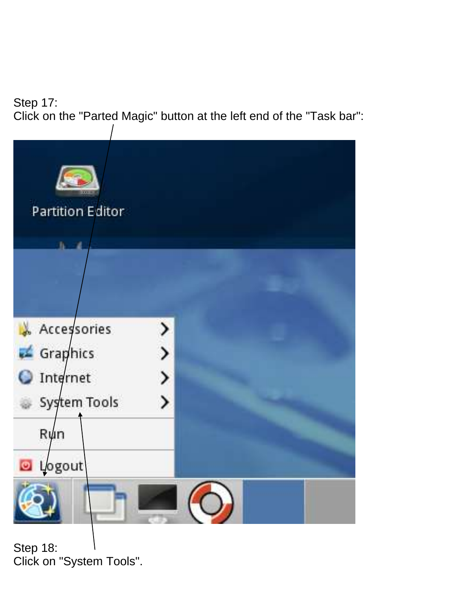Step 17: Click on the "Parted Magic" button at the left end of the "Task bar":



Step 18: Click on "System Tools".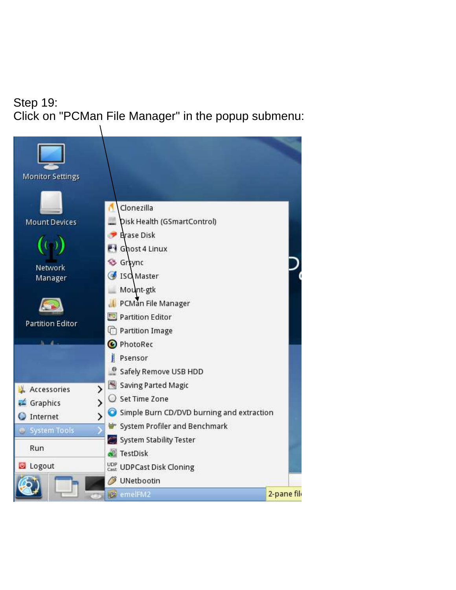#### Step 19: Click on "PCMan File Manager" in the popup submenu:

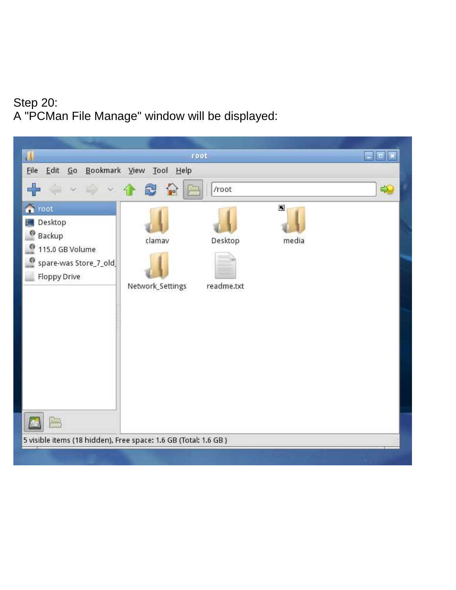#### Step 20: A "PCMan File Manage" window will be displayed:

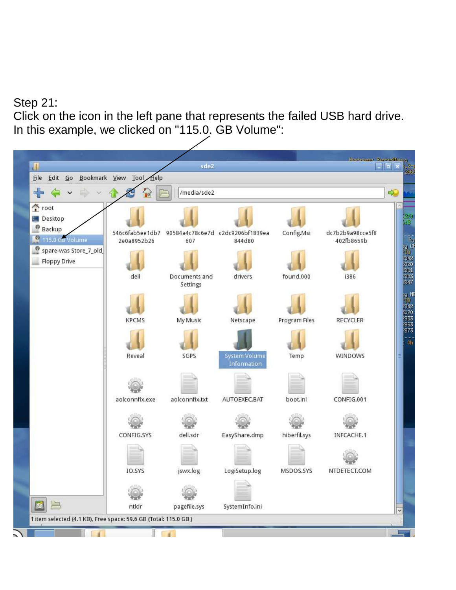#### Step 21:

Click on the icon in the left pane that represents the failed USB hard drive. In this example, we clicked on "115.0. GB Volume":

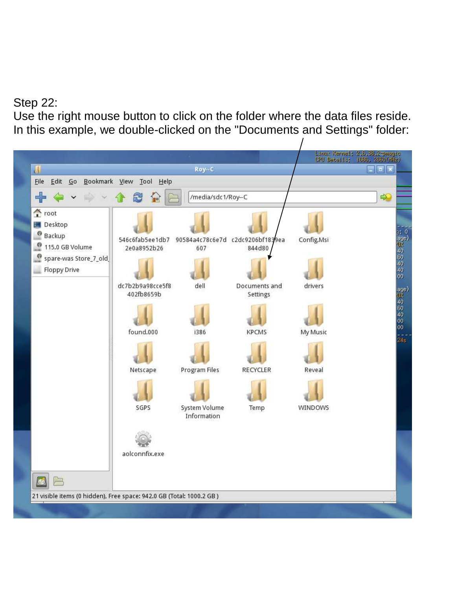#### Step 22:

Use the right mouse button to click on the folder where the data files reside. In this example, we double-clicked on the "Documents and Settings" folder:

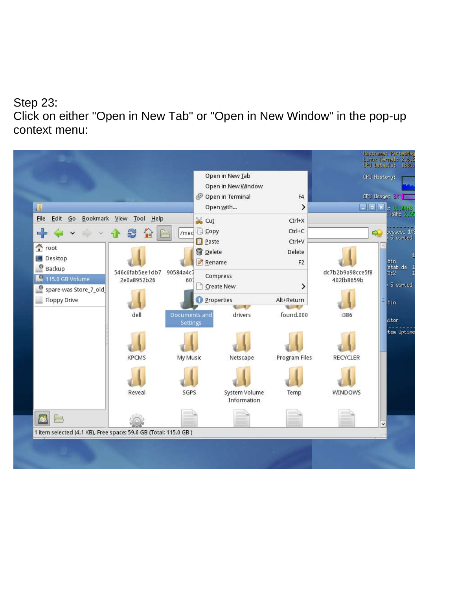#### Step 23:

Click on either "Open in New Tab" or "Open in New Window" in the pop-up context menu:

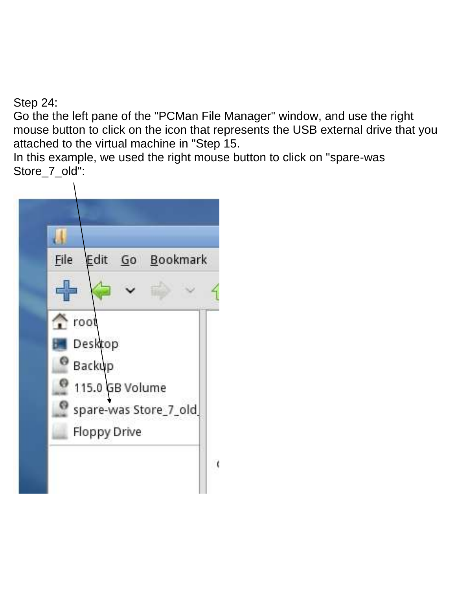Step 24:

Go the the left pane of the "PCMan File Manager" window, and use the right mouse button to click on the icon that represents the USB external drive that you attached to the virtual machine in "Step 15.

In this example, we used the right mouse button to click on "spare-was Store\_7\_old":

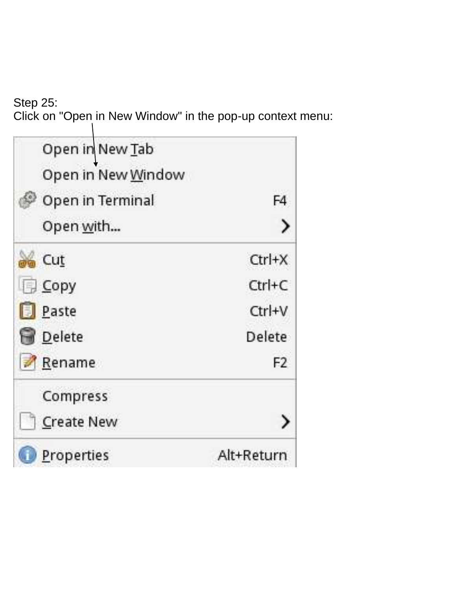Step 25: Click on "Open in New Window" in the pop-up context menu:

| Open in New Tab    |                |
|--------------------|----------------|
| Open in New Window |                |
| Open in Terminal   | F4             |
| Open <u>w</u> ith  |                |
| a Cut              | $Ctrl+X$       |
| <b>Copy</b>        | $Ctrl + C$     |
| <b>Paste</b>       | Ctrl+V         |
| <b>Delete</b>      | Delete         |
| Rename             | F <sub>2</sub> |
| Compress           |                |
| <b>Create New</b>  |                |
| Properties         | Alt+Return     |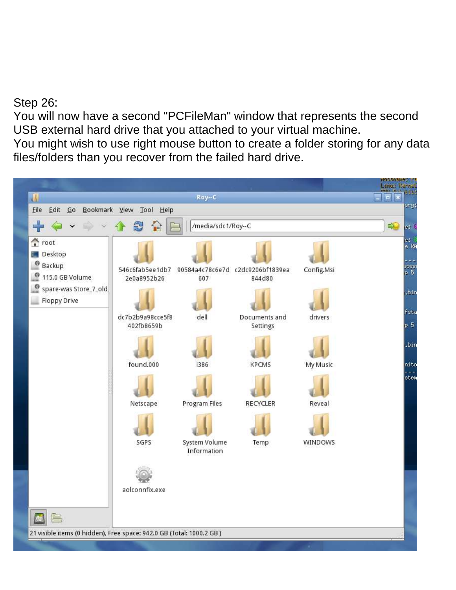Step 26:

You will now have a second "PCFileMan" window that represents the second USB external hard drive that you attached to your virtual machine.

You might wish to use right mouse button to create a folder storing for any data files/folders than you recover from the failed hard drive.

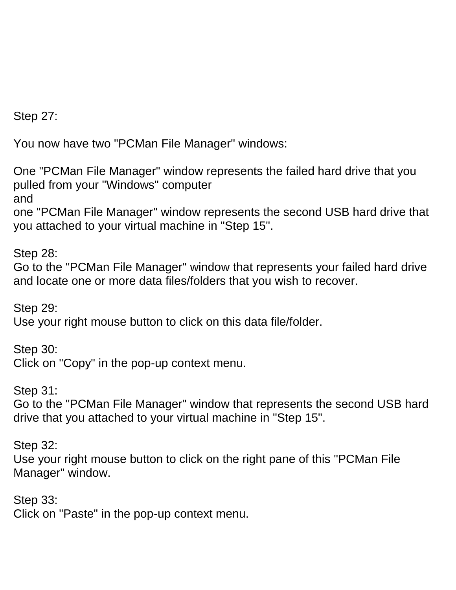Step 27:

You now have two "PCMan File Manager" windows:

One "PCMan File Manager" window represents the failed hard drive that you pulled from your "Windows" computer

and

one "PCMan File Manager" window represents the second USB hard drive that you attached to your virtual machine in "Step 15".

Step 28:

Go to the "PCMan File Manager" window that represents your failed hard drive and locate one or more data files/folders that you wish to recover.

Step 29: Use your right mouse button to click on this data file/folder.

Step 30: Click on "Copy" in the pop-up context menu.

Step 31:

Go to the "PCMan File Manager" window that represents the second USB hard drive that you attached to your virtual machine in "Step 15".

Step 32:

Use your right mouse button to click on the right pane of this "PCMan File Manager" window.

Step 33: Click on "Paste" in the pop-up context menu.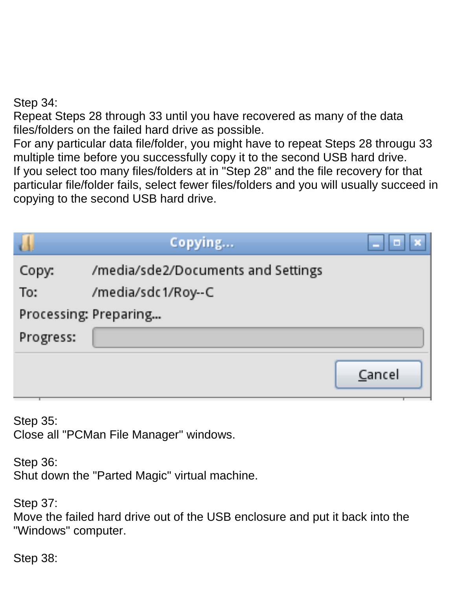Step 34:

Repeat Steps 28 through 33 until you have recovered as many of the data files/folders on the failed hard drive as possible.

For any particular data file/folder, you might have to repeat Steps 28 througu 33 multiple time before you successfully copy it to the second USB hard drive. If you select too many files/folders at in "Step 28" and the file recovery for that particular file/folder fails, select fewer files/folders and you will usually succeed in copying to the second USB hard drive.

|           | Copying                            |        |
|-----------|------------------------------------|--------|
| Copy:     | /media/sde2/Documents and Settings |        |
| To:       | /media/sdc1/Roy--C                 |        |
|           | Processing: Preparing              |        |
| Progress: |                                    |        |
|           |                                    | Cancel |

Step 35: Close all "PCMan File Manager" windows.

Step 36:

Shut down the "Parted Magic" virtual machine.

Step 37:

Move the failed hard drive out of the USB enclosure and put it back into the "Windows" computer.

Step 38: